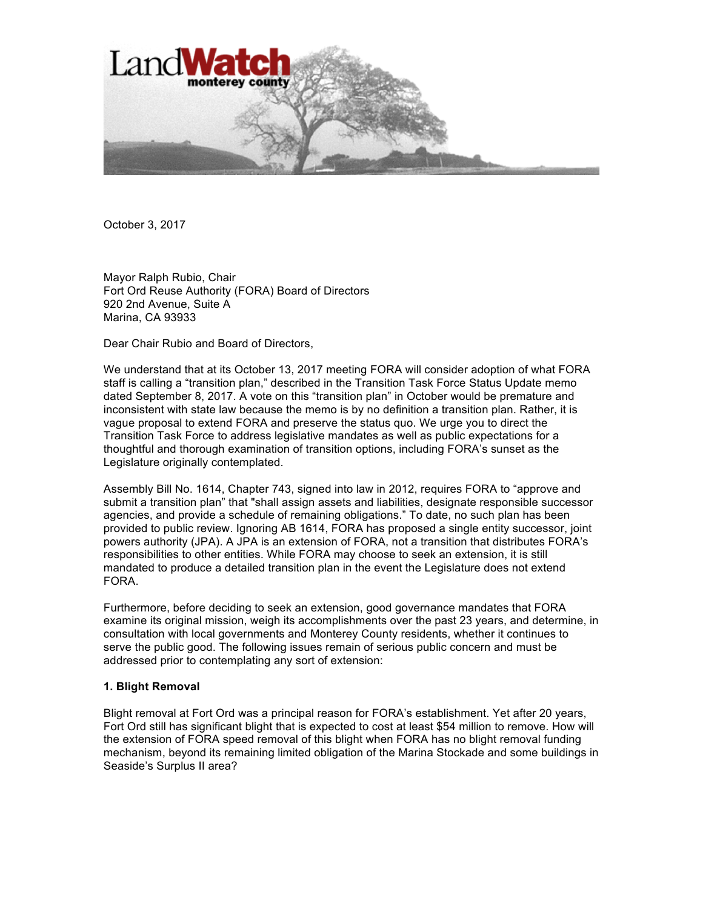

October 3, 2017

Mayor Ralph Rubio, Chair Fort Ord Reuse Authority (FORA) Board of Directors 920 2nd Avenue, Suite A Marina, CA 93933

Dear Chair Rubio and Board of Directors,

We understand that at its October 13, 2017 meeting FORA will consider adoption of what FORA staff is calling a "transition plan," described in the Transition Task Force Status Update memo dated September 8, 2017. A vote on this "transition plan" in October would be premature and inconsistent with state law because the memo is by no definition a transition plan. Rather, it is vague proposal to extend FORA and preserve the status quo. We urge you to direct the Transition Task Force to address legislative mandates as well as public expectations for a thoughtful and thorough examination of transition options, including FORA's sunset as the Legislature originally contemplated.

Assembly Bill No. 1614, Chapter 743, signed into law in 2012, requires FORA to "approve and submit a transition plan" that "shall assign assets and liabilities, designate responsible successor agencies, and provide a schedule of remaining obligations." To date, no such plan has been provided to public review. Ignoring AB 1614, FORA has proposed a single entity successor, joint powers authority (JPA). A JPA is an extension of FORA, not a transition that distributes FORA's responsibilities to other entities. While FORA may choose to seek an extension, it is still mandated to produce a detailed transition plan in the event the Legislature does not extend FORA.

Furthermore, before deciding to seek an extension, good governance mandates that FORA examine its original mission, weigh its accomplishments over the past 23 years, and determine, in consultation with local governments and Monterey County residents, whether it continues to serve the public good. The following issues remain of serious public concern and must be addressed prior to contemplating any sort of extension:

#### **1. Blight Removal**

Blight removal at Fort Ord was a principal reason for FORA's establishment. Yet after 20 years, Fort Ord still has significant blight that is expected to cost at least \$54 million to remove. How will the extension of FORA speed removal of this blight when FORA has no blight removal funding mechanism, beyond its remaining limited obligation of the Marina Stockade and some buildings in Seaside's Surplus II area?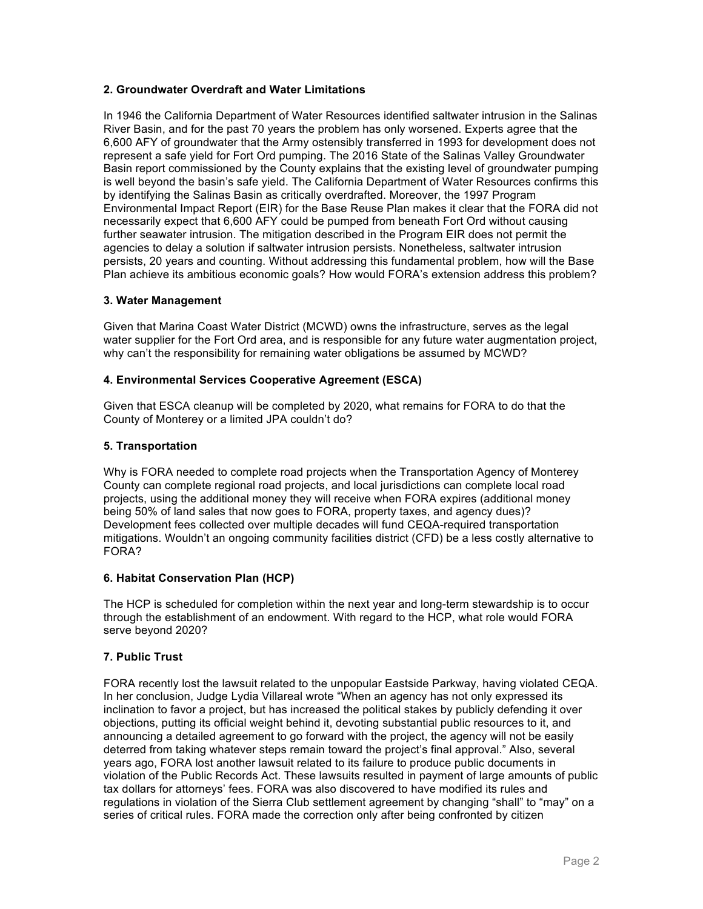## **2. Groundwater Overdraft and Water Limitations**

In 1946 the California Department of Water Resources identified saltwater intrusion in the Salinas River Basin, and for the past 70 years the problem has only worsened. Experts agree that the 6,600 AFY of groundwater that the Army ostensibly transferred in 1993 for development does not represent a safe yield for Fort Ord pumping. The 2016 State of the Salinas Valley Groundwater Basin report commissioned by the County explains that the existing level of groundwater pumping is well beyond the basin's safe yield. The California Department of Water Resources confirms this by identifying the Salinas Basin as critically overdrafted. Moreover, the 1997 Program Environmental Impact Report (EIR) for the Base Reuse Plan makes it clear that the FORA did not necessarily expect that 6,600 AFY could be pumped from beneath Fort Ord without causing further seawater intrusion. The mitigation described in the Program EIR does not permit the agencies to delay a solution if saltwater intrusion persists. Nonetheless, saltwater intrusion persists, 20 years and counting. Without addressing this fundamental problem, how will the Base Plan achieve its ambitious economic goals? How would FORA's extension address this problem?

#### **3. Water Management**

Given that Marina Coast Water District (MCWD) owns the infrastructure, serves as the legal water supplier for the Fort Ord area, and is responsible for any future water augmentation project, why can't the responsibility for remaining water obligations be assumed by MCWD?

### **4. Environmental Services Cooperative Agreement (ESCA)**

Given that ESCA cleanup will be completed by 2020, what remains for FORA to do that the County of Monterey or a limited JPA couldn't do?

### **5. Transportation**

Why is FORA needed to complete road projects when the Transportation Agency of Monterey County can complete regional road projects, and local jurisdictions can complete local road projects, using the additional money they will receive when FORA expires (additional money being 50% of land sales that now goes to FORA, property taxes, and agency dues)? Development fees collected over multiple decades will fund CEQA-required transportation mitigations. Wouldn't an ongoing community facilities district (CFD) be a less costly alternative to FORA?

#### **6. Habitat Conservation Plan (HCP)**

The HCP is scheduled for completion within the next year and long-term stewardship is to occur through the establishment of an endowment. With regard to the HCP, what role would FORA serve beyond 2020?

#### **7. Public Trust**

FORA recently lost the lawsuit related to the unpopular Eastside Parkway, having violated CEQA. In her conclusion, Judge Lydia Villareal wrote "When an agency has not only expressed its inclination to favor a project, but has increased the political stakes by publicly defending it over objections, putting its official weight behind it, devoting substantial public resources to it, and announcing a detailed agreement to go forward with the project, the agency will not be easily deterred from taking whatever steps remain toward the project's final approval." Also, several years ago, FORA lost another lawsuit related to its failure to produce public documents in violation of the Public Records Act. These lawsuits resulted in payment of large amounts of public tax dollars for attorneys' fees. FORA was also discovered to have modified its rules and regulations in violation of the Sierra Club settlement agreement by changing "shall" to "may" on a series of critical rules. FORA made the correction only after being confronted by citizen